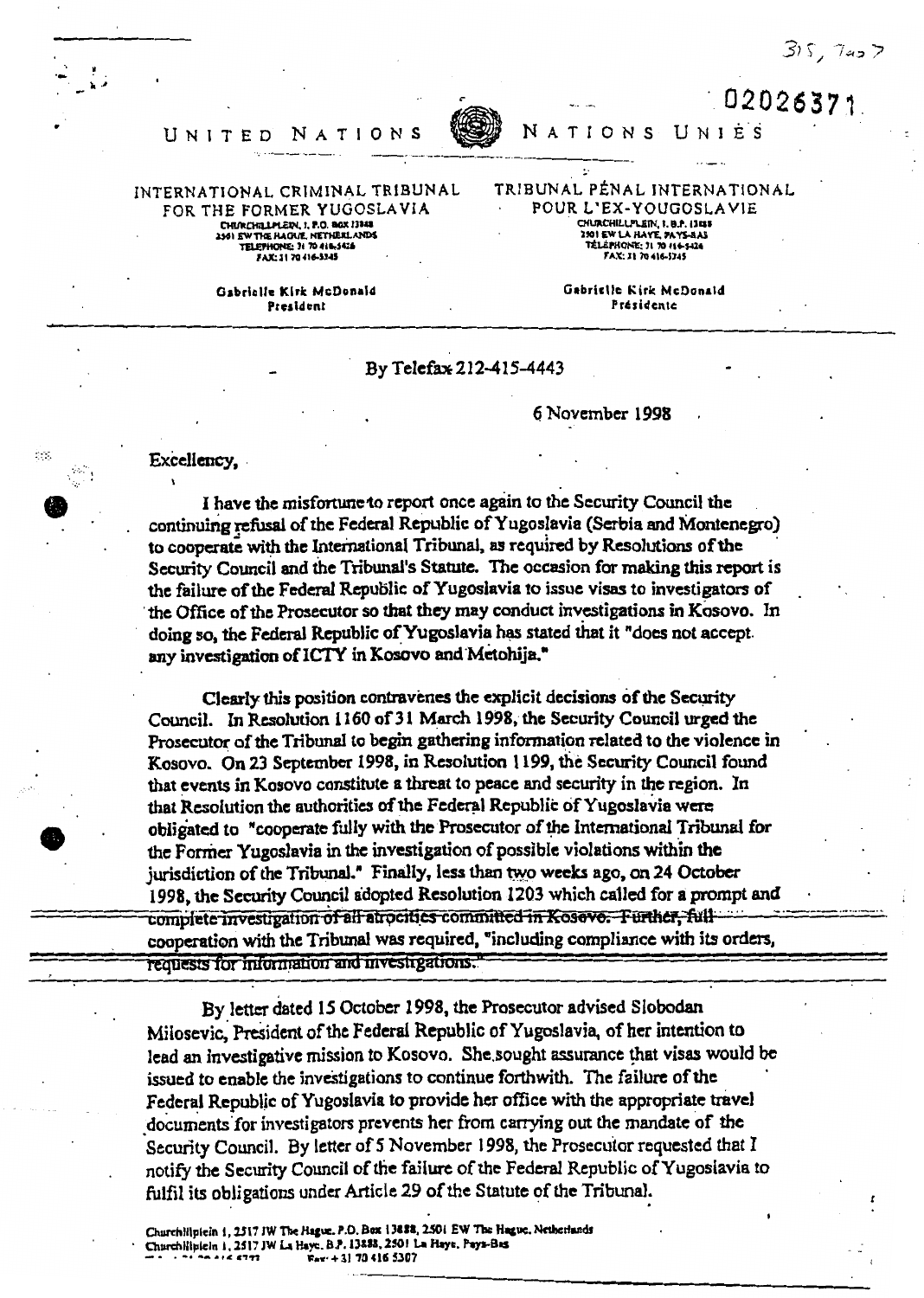$315, 7457$ 

02026371

UNIES



## UNITED NATION

INTERNATIONAL CRIMINAL TRIBUNAL FOR THE FORMER YUGOSLAVIA CHURCHILLIMER, 1. P.O. BOX 13888<br>2501 EW THE HAGUE, NETHERLANDS<br>TELEPHONE: 31 70 416-5426

FAX: 31 70 416-5345

Gabrielle Kirk McDonald **President** 

 $\ddot{\phantom{a}}$  . TRIBUNAL PÉNAL INTERNATIONAL POUR L'EX-YOUGOSLAVIE CHURCHILLPLEIN, 1. B.P. 1388 2301 EW LA HAYE, PAYS-BAY<br>TELEPHONE: 31 70 416-524

> Gabrielle Kirk McDonald Présidente

By Telefax 212-415-4443

## 6 November 1998

**NATIONS** 

Excellency,

Sec.

I have the misfortune to report once again to the Security Council the continuing refusal of the Federal Republic of Yugoslavia (Serbia and Montenegro) to cooperate with the International Tribunal, as required by Resolutions of the Security Council and the Tribunal's Statute. The occasion for making this report is the failure of the Federal Republic of Yugoslavia to issue visas to investigators of the Office of the Prosecutor so that they may conduct investigations in Kosovo. In doing so, the Federal Republic of Yugoslavia has stated that it "does not accept. any investigation of ICTY in Kosovo and Metohija."

Clearly this position contravenes the explicit decisions of the Security Council. In Resolution 1160 of 31 March 1998, the Security Council urged the Prosecutor of the Tribunal to begin gathering information related to the violence in Kosovo. On 23 September 1998, in Resolution 1199, the Security Council found that events in Kosovo constitute a threat to peace and security in the region. In that Resolution the authorities of the Federal Republic of Yugoslavia were obligated to "cooperate fully with the Prosecutor of the International Tribunal for the Former Yugoslavia in the investigation of possible violations within the jurisdiction of the Tribunal." Finally, less than two weeks ago, on 24 October 1998, the Security Council adopted Resolution 1203 which called for a prompt and complete investigation of all atrocities committed in Kosovo. Further, fullcooperation with the Tribunal was required, "including compliance with its orders, requests for information and investigations.

By letter dated 15 October 1998, the Prosecutor advised Slobodan Milosevic, President of the Federal Republic of Yugoslavia, of her intention to lead an investigative mission to Kosovo. She sought assurance that visas would be issued to enable the investigations to continue forthwith. The failure of the Federal Republic of Yugoslavia to provide her office with the appropriate travel documents for investigators prevents her from carrying out the mandate of the Security Council. By letter of 5 November 1998, the Prosecutor requested that I notify the Security Council of the failure of the Federal Republic of Yugoslavia to fulfil its obligations under Article 29 of the Statute of the Tribunal.

Churchilipicin 1, 2517 JW The Hague. P.O. Box 13888, 2501 EW The Hague. Netherlands Churchiliplein 1, 2517 JW La Haye. B.P. 13888, 2501 La Haye. Pays-Bas Fax: + 31 70 416 5307